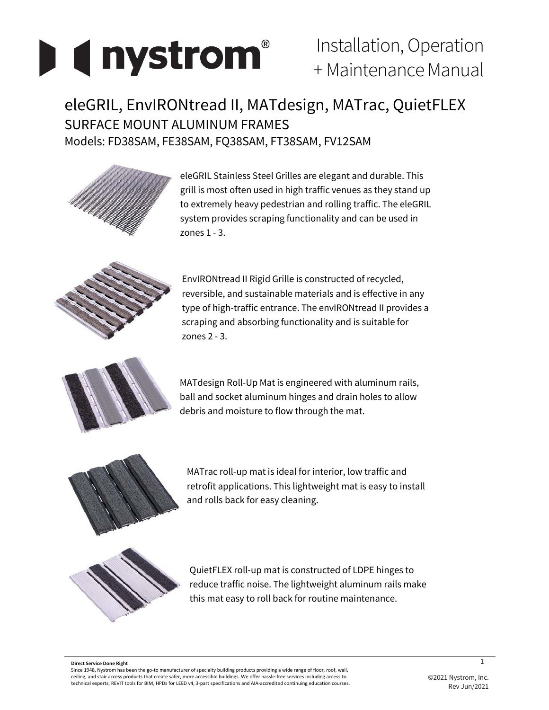# **I** ( nystrom<sup>®</sup>

# Installation, Operation + Maintenance Manual

# eleGRIL, EnvIRONtread II, MATdesign, MATrac, QuietFLEX SURFACE MOUNT ALUMINUM FRAMES Models: FD38SAM, FE38SAM, FQ38SAM, FT38SAM, FV12SAM



eleGRIL Stainless Steel Grilles are elegant and durable. This grill is most often used in high traffic venues as they stand up to extremely heavy pedestrian and rolling traffic. The eleGRIL system provides scraping functionality and can be used in zones 1 - 3.



EnvIRONtread II Rigid Grille is constructed of recycled, reversible, and sustainable materials and is effective in any type of high-traffic entrance. The envIRONtread II provides a scraping and absorbing functionality and is suitable for zones 2 - 3.



MATdesign Roll-Up Mat is engineered with aluminum rails, ball and socket aluminum hinges and drain holes to allow debris and moisture to flow through the mat.



MATrac roll-up mat is ideal for interior, low traffic and retrofit applications. This lightweight mat is easy to install and rolls back for easy cleaning.



QuietFLEX roll-up mat is constructed of LDPE hinges to reduce traffic noise. The lightweight aluminum rails make this mat easy to roll back for routine maintenance.

#### **Direct Service Done Right**

Since 1948, Nystrom has been the go-to manufacturer of specialty building products providing a wide range of floor, roof, wall, ceiling, and stair access products that create safer, more accessible buildings. We offer hassle-free services including access to technical experts, REVIT tools for BIM, HPDs for LEED v4, 3-part specifications and AIA-accredited continuing education courses.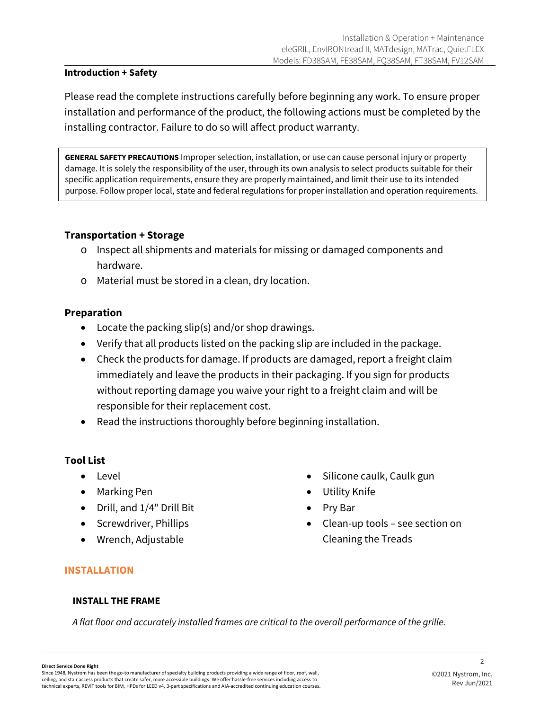#### **Introduction + Safety**

Please read the complete instructions carefully before beginning any work. To ensure proper installation and performance of the product, the following actions must be completed by the installing contractor. Failure to do so will affect product warranty.

**GENERAL SAFETY PRECAUTIONS** Improper selection, installation, or use can cause personal injury or property damage. It is solely the responsibility of the user, through its own analysis to select products suitable for their specific application requirements, ensure they are properly maintained, and limit their use to its intended purpose. Follow proper local, state and federal regulations for proper installation and operation requirements.

#### **Transportation + Storage**

- o Inspect all shipments and materials for missing or damaged components and hardware.
- o Material must be stored in a clean, dry location.

#### **Preparation**

- Locate the packing slip(s) and/or shop drawings.
- Verify that all products listed on the packing slip are included in the package.
- Check the products for damage. If products are damaged, report a freight claim immediately and leave the products in their packaging. If you sign for products without reporting damage you waive your right to a freight claim and will be responsible for their replacement cost.
- Read the instructions thoroughly before beginning installation.

#### **Tool List**

- Level
- Marking Pen
- Drill, and 1/4" Drill Bit
- Screwdriver, Phillips
- Wrench, Adjustable
- Silicone caulk, Caulk gun
- Utility Knife
- Pry Bar
- Clean-up tools see section on Cleaning the Treads

#### **INSTALLATION**

#### **INSTALL THE FRAME**

*A flat floor and accurately installed frames are critical to the overall performance of the grille.* 

**Direct Service Done Right**

Since 1948, Nystrom has been the go-to manufacturer of specialty building products providing a wide range of floor, roof, wall, ceiling, and stair access products that create safer, more accessible buildings. We offer hassle-free services including access to technical experts, REVIT tools for BIM, HPDs for LEED v4, 3-part specifications and AIA-accredited continuing education courses.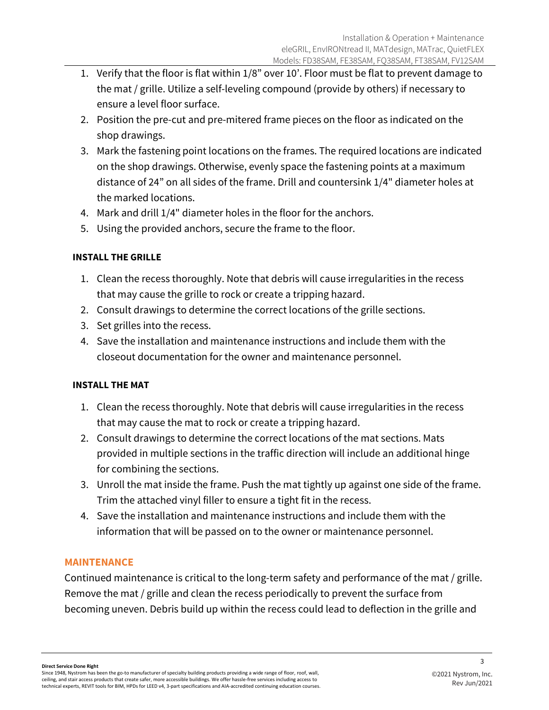- 1. Verify that the floor is flat within 1/8" over 10'. Floor must be flat to prevent damage to the mat / grille. Utilize a self-leveling compound (provide by others) if necessary to ensure a level floor surface.
- 2. Position the pre-cut and pre-mitered frame pieces on the floor as indicated on the shop drawings.
- 3. Mark the fastening point locations on the frames. The required locations are indicated on the shop drawings. Otherwise, evenly space the fastening points at a maximum distance of 24" on all sides of the frame. Drill and countersink 1/4" diameter holes at the marked locations.
- 4. Mark and drill 1/4" diameter holes in the floor for the anchors.
- 5. Using the provided anchors, secure the frame to the floor.

## **INSTALL THE GRILLE**

- 1. Clean the recess thoroughly. Note that debris will cause irregularities in the recess that may cause the grille to rock or create a tripping hazard.
- 2. Consult drawings to determine the correct locations of the grille sections.
- 3. Set grilles into the recess.
- 4. Save the installation and maintenance instructions and include them with the closeout documentation for the owner and maintenance personnel.

## **INSTALL THE MAT**

- 1. Clean the recess thoroughly. Note that debris will cause irregularities in the recess that may cause the mat to rock or create a tripping hazard.
- 2. Consult drawings to determine the correct locations of the mat sections. Mats provided in multiple sections in the traffic direction will include an additional hinge for combining the sections.
- 3. Unroll the mat inside the frame. Push the mat tightly up against one side of the frame. Trim the attached vinyl filler to ensure a tight fit in the recess.
- 4. Save the installation and maintenance instructions and include them with the information that will be passed on to the owner or maintenance personnel.

#### **MAINTENANCE**

Continued maintenance is critical to the long-term safety and performance of the mat / grille. Remove the mat / grille and clean the recess periodically to prevent the surface from becoming uneven. Debris build up within the recess could lead to deflection in the grille and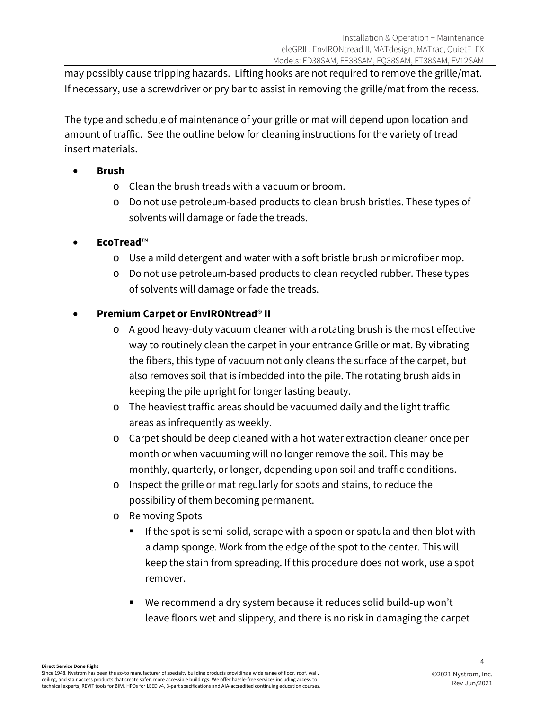may possibly cause tripping hazards. Lifting hooks are not required to remove the grille/mat. If necessary, use a screwdriver or pry bar to assist in removing the grille/mat from the recess.

The type and schedule of maintenance of your grille or mat will depend upon location and amount of traffic. See the outline below for cleaning instructions for the variety of tread insert materials.

- **Brush**
	- o Clean the brush treads with a vacuum or broom.
	- o Do not use petroleum-based products to clean brush bristles. These types of solvents will damage or fade the treads.
- **EcoTread**™
	- o Use a mild detergent and water with a soft bristle brush or microfiber mop.
	- o Do not use petroleum-based products to clean recycled rubber. These types of solvents will damage or fade the treads.

## • **Premium Carpet or EnvIRONtread**® **II**

- o A good heavy-duty vacuum cleaner with a rotating brush is the most effective way to routinely clean the carpet in your entrance Grille or mat. By vibrating the fibers, this type of vacuum not only cleans the surface of the carpet, but also removes soil that is imbedded into the pile. The rotating brush aids in keeping the pile upright for longer lasting beauty.
- o The heaviest traffic areas should be vacuumed daily and the light traffic areas as infrequently as weekly.
- o Carpet should be deep cleaned with a hot water extraction cleaner once per month or when vacuuming will no longer remove the soil. This may be monthly, quarterly, or longer, depending upon soil and traffic conditions.
- o Inspect the grille or mat regularly for spots and stains, to reduce the possibility of them becoming permanent.
- o Removing Spots
	- If the spot is semi-solid, scrape with a spoon or spatula and then blot with a damp sponge. Work from the edge of the spot to the center. This will keep the stain from spreading. If this procedure does not work, use a spot remover.
	- We recommend a dry system because it reduces solid build-up won't leave floors wet and slippery, and there is no risk in damaging the carpet

#### **Direct Service Done Right**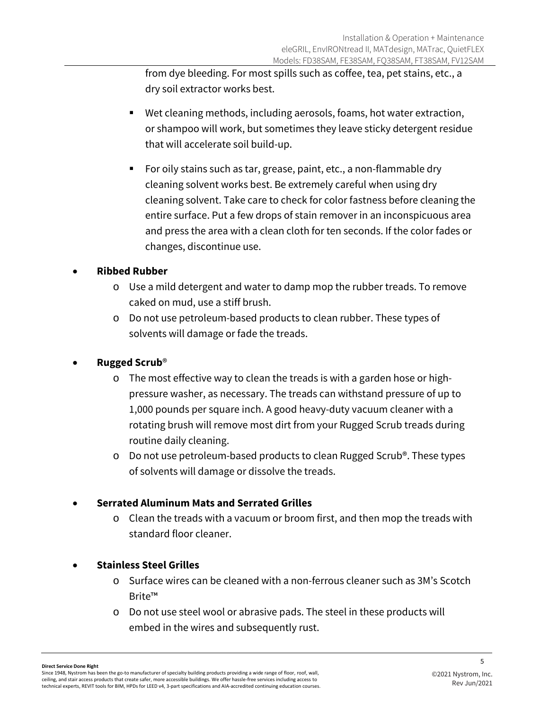from dye bleeding. For most spills such as coffee, tea, pet stains, etc., a dry soil extractor works best.

- Wet cleaning methods, including aerosols, foams, hot water extraction, or shampoo will work, but sometimes they leave sticky detergent residue that will accelerate soil build-up.
- For oily stains such as tar, grease, paint, etc., a non-flammable dry cleaning solvent works best. Be extremely careful when using dry cleaning solvent. Take care to check for color fastness before cleaning the entire surface. Put a few drops of stain remover in an inconspicuous area and press the area with a clean cloth for ten seconds. If the color fades or changes, discontinue use.

## • **Ribbed Rubber**

- o Use a mild detergent and water to damp mop the rubber treads. To remove caked on mud, use a stiff brush.
- o Do not use petroleum-based products to clean rubber. These types of solvents will damage or fade the treads.

## • **Rugged Scrub**®

- o The most effective way to clean the treads is with a garden hose or highpressure washer, as necessary. The treads can withstand pressure of up to 1,000 pounds per square inch. A good heavy-duty vacuum cleaner with a rotating brush will remove most dirt from your Rugged Scrub treads during routine daily cleaning.
- o Do not use petroleum-based products to clean Rugged Scrub®. These types of solvents will damage or dissolve the treads.

#### • **Serrated Aluminum Mats and Serrated Grilles**

o Clean the treads with a vacuum or broom first, and then mop the treads with standard floor cleaner.

#### • **Stainless Steel Grilles**

- o Surface wires can be cleaned with a non-ferrous cleaner such as 3M's Scotch Brite™
- o Do not use steel wool or abrasive pads. The steel in these products will embed in the wires and subsequently rust.

#### **Direct Service Done Right**

5